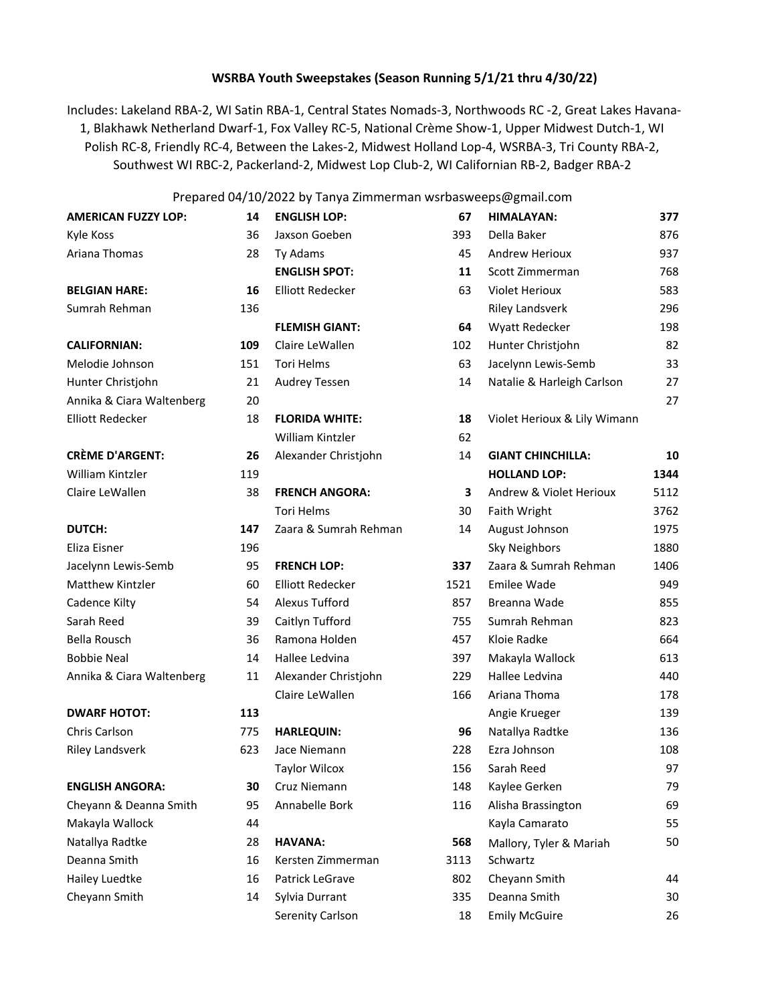## **WSRBA Youth Sweepstakes (Season Running 5/1/21 thru 4/30/22)**

Includes: Lakeland RBA-2, WI Satin RBA-1, Central States Nomads-3, Northwoods RC -2, Great Lakes Havana-1, Blakhawk Netherland Dwarf-1, Fox Valley RC-5, National Crème Show-1, Upper Midwest Dutch-1, WI Polish RC-8, Friendly RC-4, Between the Lakes-2, Midwest Holland Lop-4, WSRBA-3, Tri County RBA-2, Southwest WI RBC-2, Packerland-2, Midwest Lop Club-2, WI Californian RB-2, Badger RBA-2

## Prepared 04/10/2022 by Tanya Zimmerman wsrbasweeps@gmail.com

| <b>AMERICAN FUZZY LOP:</b> | 14  | <b>ENGLISH LOP:</b>     | 67   | HIMALAYAN:                   | 377  |
|----------------------------|-----|-------------------------|------|------------------------------|------|
| Kyle Koss                  | 36  | Jaxson Goeben           | 393  | Della Baker                  |      |
| Ariana Thomas              | 28  | Ty Adams                | 45   | <b>Andrew Herioux</b>        | 937  |
|                            |     | <b>ENGLISH SPOT:</b>    | 11   | Scott Zimmerman              | 768  |
| <b>BELGIAN HARE:</b>       | 16  | <b>Elliott Redecker</b> | 63   | Violet Herioux               | 583  |
| Sumrah Rehman              | 136 |                         |      | <b>Riley Landsverk</b>       | 296  |
|                            |     | <b>FLEMISH GIANT:</b>   | 64   | Wyatt Redecker               | 198  |
| <b>CALIFORNIAN:</b>        | 109 | Claire LeWallen         | 102  | Hunter Christjohn            | 82   |
| Melodie Johnson            | 151 | <b>Tori Helms</b>       | 63   | Jacelynn Lewis-Semb          | 33   |
| Hunter Christjohn          | 21  | <b>Audrey Tessen</b>    | 14   | Natalie & Harleigh Carlson   | 27   |
| Annika & Ciara Waltenberg  | 20  |                         |      |                              | 27   |
| <b>Elliott Redecker</b>    | 18  | <b>FLORIDA WHITE:</b>   | 18   | Violet Herioux & Lily Wimann |      |
|                            |     | William Kintzler        | 62   |                              |      |
| <b>CRÈME D'ARGENT:</b>     | 26  | Alexander Christjohn    | 14   | <b>GIANT CHINCHILLA:</b>     | 10   |
| William Kintzler           | 119 |                         |      | <b>HOLLAND LOP:</b>          | 1344 |
| Claire LeWallen            | 38  | <b>FRENCH ANGORA:</b>   | 3    | Andrew & Violet Herioux      | 5112 |
|                            |     | <b>Tori Helms</b>       | 30   | Faith Wright                 | 3762 |
| DUTCH:                     | 147 | Zaara & Sumrah Rehman   | 14   | August Johnson               | 1975 |
| Eliza Eisner               | 196 |                         |      | Sky Neighbors                | 1880 |
| Jacelynn Lewis-Semb        | 95  | <b>FRENCH LOP:</b>      | 337  | Zaara & Sumrah Rehman        | 1406 |
| Matthew Kintzler           | 60  | <b>Elliott Redecker</b> | 1521 | <b>Emilee Wade</b>           | 949  |
| Cadence Kilty              | 54  | <b>Alexus Tufford</b>   | 857  | Breanna Wade                 | 855  |
| Sarah Reed                 | 39  | Caitlyn Tufford         | 755  | Sumrah Rehman                | 823  |
| Bella Rousch               | 36  | Ramona Holden           | 457  | Kloie Radke                  | 664  |
| <b>Bobbie Neal</b>         | 14  | Hallee Ledvina          | 397  | Makayla Wallock              |      |
| Annika & Ciara Waltenberg  | 11  | Alexander Christjohn    | 229  | Hallee Ledvina               | 440  |
|                            |     | Claire LeWallen         | 166  | Ariana Thoma                 | 178  |
| <b>DWARF HOTOT:</b>        | 113 |                         |      | Angie Krueger                | 139  |
| Chris Carlson              | 775 | <b>HARLEQUIN:</b>       | 96   | Natallya Radtke              | 136  |
| <b>Riley Landsverk</b>     | 623 | Jace Niemann            | 228  | Ezra Johnson                 | 108  |
|                            |     | <b>Taylor Wilcox</b>    | 156  | Sarah Reed                   | 97   |
| <b>ENGLISH ANGORA:</b>     | 30  | Cruz Niemann            | 148  | Kaylee Gerken                | 79   |
| Cheyann & Deanna Smith     | 95  | Annabelle Bork          | 116  | Alisha Brassington           | 69   |
| Makayla Wallock            | 44  |                         |      | Kayla Camarato               | 55   |
| Natallya Radtke            | 28  | <b>HAVANA:</b>          | 568  | Mallory, Tyler & Mariah      | 50   |
| Deanna Smith               | 16  | Kersten Zimmerman       | 3113 | Schwartz                     |      |
| Hailey Luedtke             | 16  | Patrick LeGrave         | 802  | Cheyann Smith                | 44   |
| Cheyann Smith              | 14  | Sylvia Durrant          | 335  | Deanna Smith                 | 30   |
|                            |     | Serenity Carlson        | 18   | <b>Emily McGuire</b>         | 26   |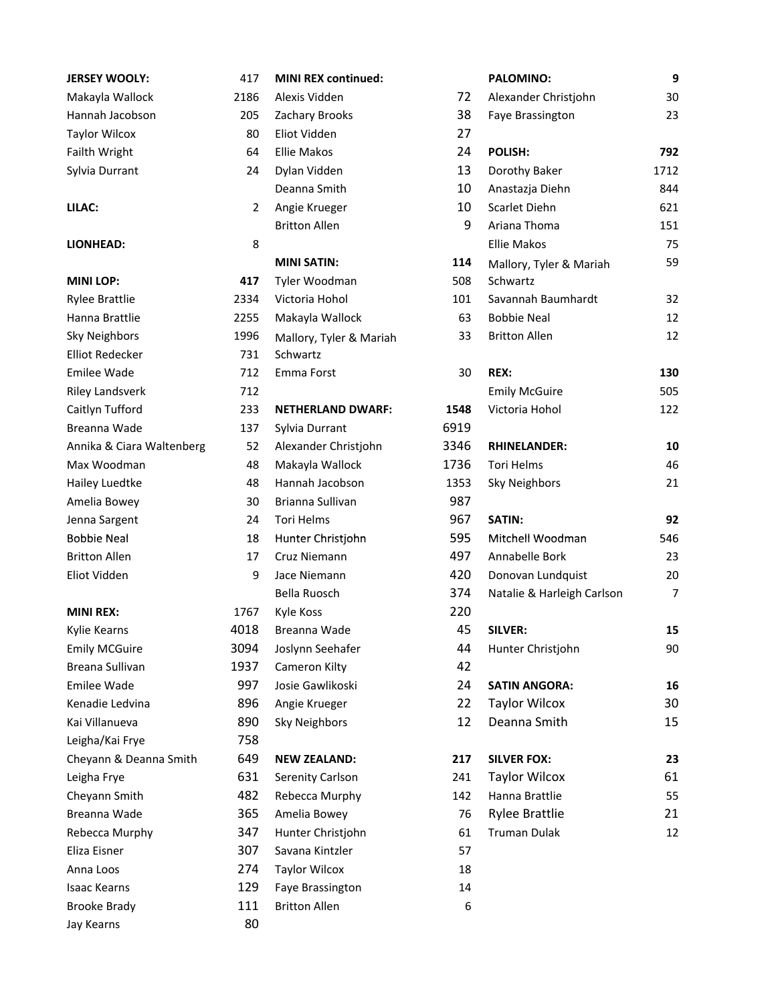| <b>JERSEY WOOLY:</b>      | 417  | <b>MINI REX continued:</b> |      | <b>PALOMINO:</b>           | 9    |
|---------------------------|------|----------------------------|------|----------------------------|------|
| Makayla Wallock           | 2186 | Alexis Vidden              | 72   | Alexander Christjohn       | 30   |
| Hannah Jacobson           | 205  | Zachary Brooks             | 38   | Faye Brassington           |      |
| <b>Taylor Wilcox</b>      | 80   | Eliot Vidden               | 27   |                            |      |
| Failth Wright             | 64   | <b>Ellie Makos</b>         | 24   | POLISH:                    | 792  |
| Sylvia Durrant            | 24   | Dylan Vidden               | 13   | Dorothy Baker              | 1712 |
|                           |      | Deanna Smith               | 10   | Anastazja Diehn            | 844  |
| LILAC:                    | 2    | Angie Krueger              | 10   | Scarlet Diehn              | 621  |
|                           |      | <b>Britton Allen</b>       | 9    | Ariana Thoma               | 151  |
| <b>LIONHEAD:</b>          | 8    |                            |      | <b>Ellie Makos</b>         | 75   |
|                           |      | <b>MINI SATIN:</b>         | 114  | Mallory, Tyler & Mariah    | 59   |
| <b>MINI LOP:</b>          | 417  | Tyler Woodman              | 508  | Schwartz                   |      |
| <b>Rylee Brattlie</b>     | 2334 | Victoria Hohol             | 101  | Savannah Baumhardt         | 32   |
| Hanna Brattlie            | 2255 | Makayla Wallock            | 63   | <b>Bobbie Neal</b>         |      |
| <b>Sky Neighbors</b>      | 1996 | Mallory, Tyler & Mariah    | 33   | <b>Britton Allen</b>       |      |
| <b>Elliot Redecker</b>    | 731  | Schwartz                   |      |                            |      |
| <b>Emilee Wade</b>        | 712  | Emma Forst                 | 30   | REX:                       | 130  |
| <b>Riley Landsverk</b>    | 712  |                            |      | <b>Emily McGuire</b>       | 505  |
| Caitlyn Tufford           | 233  | <b>NETHERLAND DWARF:</b>   | 1548 | Victoria Hohol             | 122  |
| Breanna Wade              | 137  | Sylvia Durrant             | 6919 |                            |      |
| Annika & Ciara Waltenberg | 52   | Alexander Christjohn       | 3346 | <b>RHINELANDER:</b>        | 10   |
| Max Woodman               | 48   | Makayla Wallock            | 1736 | <b>Tori Helms</b>          | 46   |
| Hailey Luedtke            | 48   | Hannah Jacobson            | 1353 | <b>Sky Neighbors</b>       | 21   |
| Amelia Bowey              | 30   | Brianna Sullivan           | 987  |                            |      |
| Jenna Sargent             | 24   | Tori Helms                 | 967  | SATIN:                     | 92   |
| <b>Bobbie Neal</b>        | 18   | Hunter Christjohn          | 595  | Mitchell Woodman           | 546  |
| <b>Britton Allen</b>      | 17   | Cruz Niemann               | 497  | Annabelle Bork             | 23   |
| Eliot Vidden              | 9    | Jace Niemann               | 420  | Donovan Lundquist          | 20   |
|                           |      | Bella Ruosch               | 374  | Natalie & Harleigh Carlson | 7    |
| <b>MINI REX:</b>          | 1767 | Kyle Koss                  | 220  |                            |      |
| Kylie Kearns              | 4018 | Breanna Wade               | 45   | <b>SILVER:</b>             | 15   |
| <b>Emily MCGuire</b>      | 3094 | Joslynn Seehafer           | 44   | Hunter Christjohn          | 90   |
| Breana Sullivan           | 1937 | Cameron Kilty              | 42   |                            |      |
| <b>Emilee Wade</b>        | 997  | Josie Gawlikoski           | 24   | <b>SATIN ANGORA:</b>       | 16   |
| Kenadie Ledvina           | 896  | Angie Krueger              | 22   | <b>Taylor Wilcox</b>       | 30   |
| Kai Villanueva            | 890  | <b>Sky Neighbors</b>       | 12   | Deanna Smith               | 15   |
| Leigha/Kai Frye           | 758  |                            |      |                            |      |
| Cheyann & Deanna Smith    | 649  | <b>NEW ZEALAND:</b>        | 217  | <b>SILVER FOX:</b>         | 23   |
| Leigha Frye               | 631  | Serenity Carlson           | 241  | <b>Taylor Wilcox</b>       | 61   |
| Cheyann Smith             | 482  | Rebecca Murphy             | 142  | Hanna Brattlie             | 55   |
| Breanna Wade              | 365  | Amelia Bowey               | 76   | <b>Rylee Brattlie</b>      | 21   |
| Rebecca Murphy            | 347  | Hunter Christjohn          | 61   | <b>Truman Dulak</b>        | 12   |
| Eliza Eisner              | 307  | Savana Kintzler            | 57   |                            |      |
| Anna Loos                 | 274  | <b>Taylor Wilcox</b>       | 18   |                            |      |
| <b>Isaac Kearns</b>       | 129  | Faye Brassington           | 14   |                            |      |
| <b>Brooke Brady</b>       | 111  | <b>Britton Allen</b>       | 6    |                            |      |
| Jay Kearns                | 80   |                            |      |                            |      |